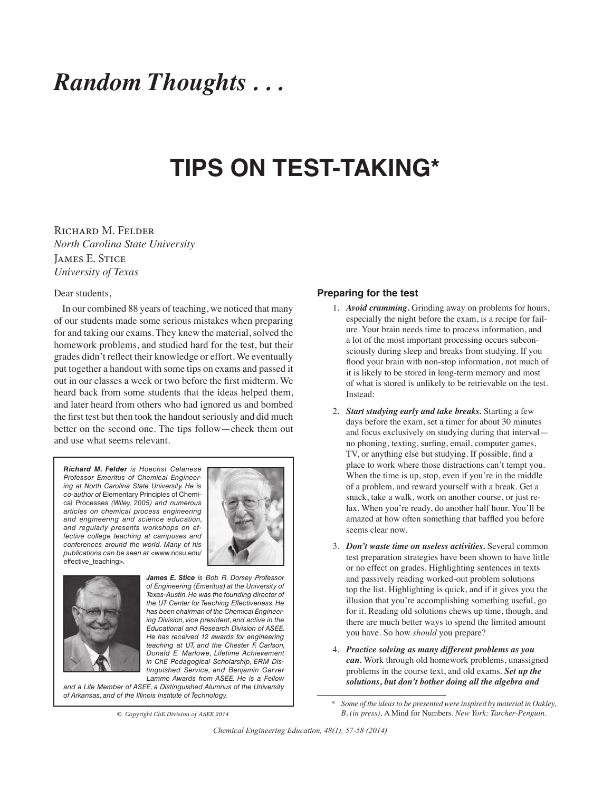# *Random Thoughts . . .*

# **TIPS ON TEST-TAKING\***

## Richard M. Felder *North Carolina State University* **JAMES E. STICE** *University of Texas*

#### Dear students,

In our combined 88 years of teaching, we noticed that many of our students made some serious mistakes when preparing for and taking our exams. They knew the material, solved the homework problems, and studied hard for the test, but their grades didn't reflect their knowledge or effort. We eventually put together a handout with some tips on exams and passed it out in our classes a week or two before the first midterm. We heard back from some students that the ideas helped them, and later heard from others who had ignored us and bombed the first test but then took the handout seriously and did much better on the second one. The tips follow—check them out and use what seems relevant.

*Richard M. Felder is Hoechst Celanese Professor Emeritus of Chemical Engineering at North Carolina State University. He is co-author of* Elementary Principles of Chemical Processes *(Wiley, 2005) and numerous articles on chemical process engineering and engineering and science education, and regularly presents workshops on effective college teaching at campuses and conferences around the world. Many of his publications can be seen at* <www.ncsu.edu/ effective\_teaching>*.*





*James E. Stice is Bob R. Dorsey Professor of Engineering (Emeritus) at the University of Texas-Austin. He was the founding director of the UT Center for Teaching Effectiveness. He has been chairman of the Chemical Engineering Division, vice president, and active in the Educational and Research Division of ASEE. He has received 12 awards for engineering teaching at UT, and the Chester F. Carlson, Donald E. Marlowe, Lifetime Achievement in ChE Pedagogical Scholarship, ERM Distinguished Service, and Benjamin Garver Lamme Awards from ASEE. He is a Fellow* 

*and a Life Member of ASEE, a Distinguished Alumnus of the University of Arkansas, and of the Illinois Institute of Technology.*

**©** *Copyright ChE Division of ASEE 2014*

### **Preparing for the test**

- 1. *Avoid cramming.* Grinding away on problems for hours, especially the night before the exam, is a recipe for failure. Your brain needs time to process information, and a lot of the most important processing occurs subconsciously during sleep and breaks from studying. If you flood your brain with non-stop information, not much of it is likely to be stored in long-term memory and most of what is stored is unlikely to be retrievable on the test. Instead:
- 2. *Start studying early and take breaks.* Starting a few days before the exam, set a timer for about 30 minutes and focus exclusively on studying during that interval no phoning, texting, surfing, email, computer games, TV, or anything else but studying. If possible, find a place to work where those distractions can't tempt you. When the time is up, stop, even if you're in the middle of a problem, and reward yourself with a break. Get a snack, take a walk, work on another course, or just relax. When you're ready, do another half hour. You'll be amazed at how often something that baffled you before seems clear now.
- 3. *Don't waste time on useless activities.* Several common test preparation strategies have been shown to have little or no effect on grades. Highlighting sentences in texts and passively reading worked-out problem solutions top the list. Highlighting is quick, and if it gives you the illusion that you're accomplishing something useful, go for it. Reading old solutions chews up time, though, and there are much better ways to spend the limited amount you have. So how *should* you prepare?
- 4. *Practice solving as many different problems as you can.* Work through old homework problems, unassigned problems in the course text, and old exams. *Set up the solutions, but don't bother doing all the algebra and*

*<sup>\*</sup> Some of the ideas to be presented were inspired by material in Oakley, B. (in press),* A Mind for Numbers. *New York: Tarcher-Penguin.*